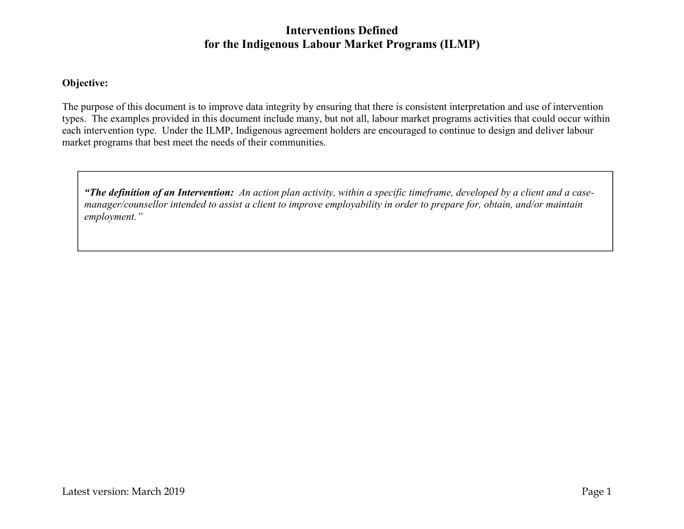## **Interventions Defined for the Indigenous Labour Market Programs (ILMP)**

## **Objective:**

The purpose of this document is to improve data integrity by ensuring that there is consistent interpretation and use of intervention types. The examples provided in this document include many, but not all, labour market programs activities that could occur within each intervention type. Under the ILMP, Indigenous agreement holders are encouraged to continue to design and deliver labour market programs that best meet the needs of their communities.

*"The definition of an Intervention: An action plan activity, within a specific timeframe, developed by a client and a casemanager/counsellor intended to assist a client to improve employability in order to prepare for, obtain, and/or maintain employment."*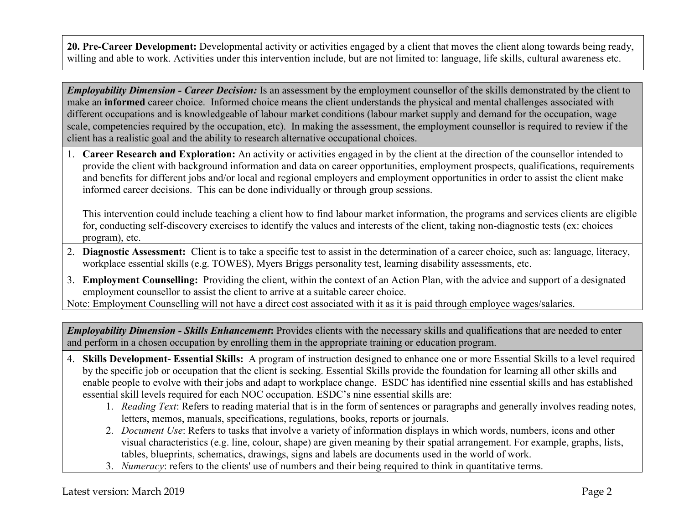**20. Pre-Career Development:** Developmental activity or activities engaged by a client that moves the client along towards being ready, willing and able to work. Activities under this intervention include, but are not limited to: language, life skills, cultural awareness etc.

*Employability Dimension - Career Decision:* Is an assessment by the employment counsellor of the skills demonstrated by the client to make an **informed** career choice. Informed choice means the client understands the physical and mental challenges associated with different occupations and is knowledgeable of labour market conditions (labour market supply and demand for the occupation, wage scale, competencies required by the occupation, etc). In making the assessment, the employment counsellor is required to review if the client has a realistic goal and the ability to research alternative occupational choices.

1. **Career Research and Exploration:** An activity or activities engaged in by the client at the direction of the counsellor intended to provide the client with background information and data on career opportunities, employment prospects, qualifications, requirements and benefits for different jobs and/or local and regional employers and employment opportunities in order to assist the client make informed career decisions. This can be done individually or through group sessions.

This intervention could include teaching a client how to find labour market information, the programs and services clients are eligible for, conducting self-discovery exercises to identify the values and interests of the client, taking non-diagnostic tests (ex: choices program), etc.

- 2. **Diagnostic Assessment:** Client is to take a specific test to assist in the determination of a career choice, such as: language, literacy, workplace essential skills (e.g. TOWES), Myers Briggs personality test, learning disability assessments, etc.
- 3. **Employment Counselling:** Providing the client, within the context of an Action Plan, with the advice and support of a designated employment counsellor to assist the client to arrive at a suitable career choice.

Note: Employment Counselling will not have a direct cost associated with it as it is paid through employee wages/salaries.

*Employability Dimension - Skills Enhancement***:** Provides clients with the necessary skills and qualifications that are needed to enter and perform in a chosen occupation by enrolling them in the appropriate training or education program.

- 4. **Skills Development- Essential Skills:** A program of instruction designed to enhance one or more Essential Skills to a level required by the specific job or occupation that the client is seeking. Essential Skills provide the foundation for learning all other skills and enable people to evolve with their jobs and adapt to workplace change. ESDC has identified nine essential skills and has established essential skill levels required for each NOC occupation. ESDC's nine essential skills are:
	- 1. *Reading Text*: Refers to reading material that is in the form of sentences or paragraphs and generally involves reading notes, letters, memos, manuals, specifications, regulations, books, reports or journals.
	- 2. *Document Use*: Refers to tasks that involve a variety of information displays in which words, numbers, icons and other visual characteristics (e.g. line, colour, shape) are given meaning by their spatial arrangement. For example, graphs, lists, tables, blueprints, schematics, drawings, signs and labels are documents used in the world of work.
	- 3. *Numeracy*: refers to the clients' use of numbers and their being required to think in quantitative terms.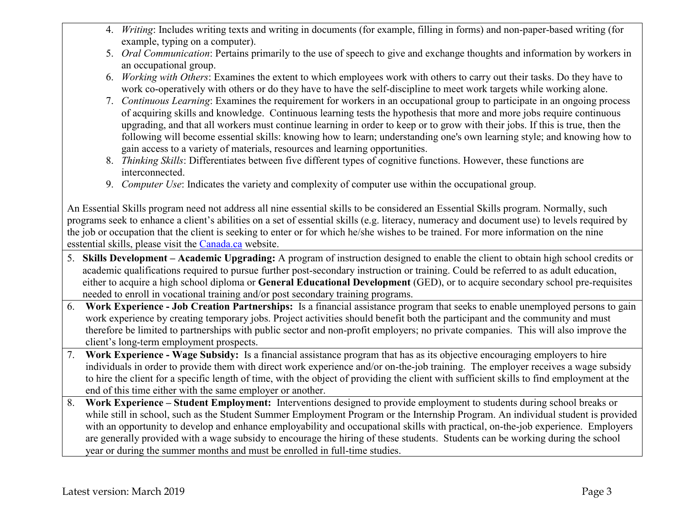- 4. *Writing*: Includes writing texts and writing in documents (for example, filling in forms) and non-paper-based writing (for example, typing on a computer).
- 5. *Oral Communication*: Pertains primarily to the use of speech to give and exchange thoughts and information by workers in an occupational group.
- 6. *Working with Others*: Examines the extent to which employees work with others to carry out their tasks. Do they have to work co-operatively with others or do they have to have the self-discipline to meet work targets while working alone.
- 7. *Continuous Learning*: Examines the requirement for workers in an occupational group to participate in an ongoing process of acquiring skills and knowledge. Continuous learning tests the hypothesis that more and more jobs require continuous upgrading, and that all workers must continue learning in order to keep or to grow with their jobs. If this is true, then the following will become essential skills: knowing how to learn; understanding one's own learning style; and knowing how to gain access to a variety of materials, resources and learning opportunities.
- 8. *Thinking Skills*: Differentiates between five different types of cognitive functions. However, these functions are interconnected.
- 9. *Computer Use*: Indicates the variety and complexity of computer use within the occupational group.

An Essential Skills program need not address all nine essential skills to be considered an Essential Skills program. Normally, such programs seek to enhance a client's abilities on a set of essential skills (e.g. literacy, numeracy and document use) to levels required by the job or occupation that the client is seeking to enter or for which he/she wishes to be trained. For more information on the nine esstential skills, please visit the Canada.ca website.

- 5. **Skills Development – Academic Upgrading:** A program of instruction designed to enable the client to obtain high school credits or academic qualifications required to pursue further post-secondary instruction or training. Could be referred to as adult education, either to acquire a high school diploma or **General Educational Development** (GED), or to acquire secondary school pre-requisites needed to enroll in vocational training and/or post secondary training programs.
- 6. **Work Experience - Job Creation Partnerships:** Is a financial assistance program that seeks to enable unemployed persons to gain work experience by creating temporary jobs. Project activities should benefit both the participant and the community and must therefore be limited to partnerships with public sector and non-profit employers; no private companies. This will also improve the client's long-term employment prospects.
- 7. **Work Experience - Wage Subsidy:** Is a financial assistance program that has as its objective encouraging employers to hire individuals in order to provide them with direct work experience and/or on-the-job training. The employer receives a wage subsidy to hire the client for a specific length of time, with the object of providing the client with sufficient skills to find employment at the end of this time either with the same employer or another.
- 8. **Work Experience – Student Employment:** Interventions designed to provide employment to students during school breaks or while still in school, such as the Student Summer Employment Program or the Internship Program. An individual student is provided with an opportunity to develop and enhance employability and occupational skills with practical, on-the-job experience. Employers are generally provided with a wage subsidy to encourage the hiring of these students. Students can be working during the school year or during the summer months and must be enrolled in full-time studies.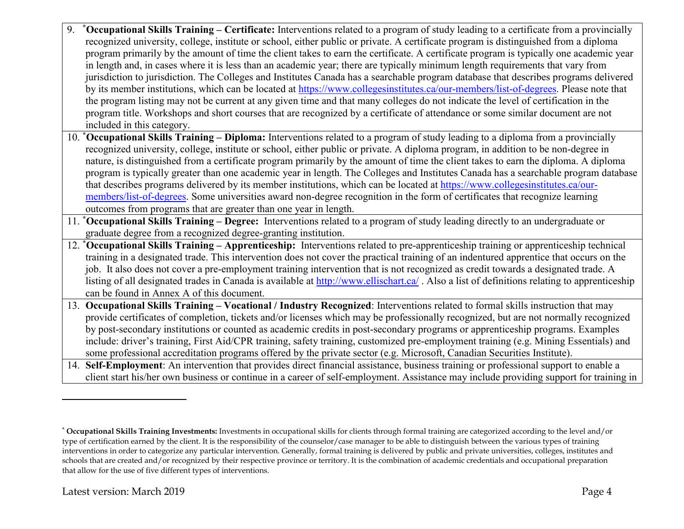- 9. **\*Occupational Skills Training – Certificate:** Interventions related to a program of study leading to a certificate from a provincially recognized university, college, institute or school, either public or private. A certificate program is distinguished from a diploma program primarily by the amount of time the client takes to earn the certificate. A certificate program is typically one academic year in length and, in cases where it is less than an academic year; there are typically minimum length requirements that vary from jurisdiction to jurisdiction. The Colleges and Institutes Canada has a searchable program database that describes programs delivered by its member institutions, which can be located at https://www.collegesinstitutes.ca/our-members/list-of-degrees. Please note that the program listing may not be current at any given time and that many colleges do not indicate the level of certification in the program title. Workshops and short courses that are recognized by a certificate of attendance or some similar document are not included in this category.
- 10. **\*Occupational Skills Training – Diploma:** Interventions related to a program of study leading to a diploma from a provincially recognized university, college, institute or school, either public or private. A diploma program, in addition to be non-degree in nature, is distinguished from a certificate program primarily by the amount of time the client takes to earn the diploma. A diploma program is typically greater than one academic year in length. The Colleges and Institutes Canada has a searchable program database that describes programs delivered by its member institutions, which can be located at https://www.collegesinstitutes.ca/ourmembers/list-of-degrees. Some universities award non-degree recognition in the form of certificates that recognize learning outcomes from programs that are greater than one year in length.
- 11. **\*Occupational Skills Training – Degree:** Interventions related to a program of study leading directly to an undergraduate or graduate degree from a recognized degree-granting institution.
- 12. **\*Occupational Skills Training – Apprenticeship:** Interventions related to pre-apprenticeship training or apprenticeship technical training in a designated trade. This intervention does not cover the practical training of an indentured apprentice that occurs on the job. It also does not cover a pre-employment training intervention that is not recognized as credit towards a designated trade. A listing of all designated trades in Canada is available at http://www.ellischart.ca/ . Also a list of definitions relating to apprenticeship can be found in Annex A of this document.
- 13. **Occupational Skills Training – Vocational / Industry Recognized**: Interventions related to formal skills instruction that may provide certificates of completion, tickets and/or licenses which may be professionally recognized, but are not normally recognized by post-secondary institutions or counted as academic credits in post-secondary programs or apprenticeship programs. Examples include: driver's training, First Aid/CPR training, safety training, customized pre-employment training (e.g. Mining Essentials) and some professional accreditation programs offered by the private sector (e.g. Microsoft, Canadian Securities Institute).
- 14. **Self-Employment**: An intervention that provides direct financial assistance, business training or professional support to enable a client start his/her own business or continue in a career of self-employment. Assistance may include providing support for training in

-

<sup>\*</sup> **Occupational Skills Training Investments:** Investments in occupational skills for clients through formal training are categorized according to the level and/or type of certification earned by the client. It is the responsibility of the counselor/case manager to be able to distinguish between the various types of training interventions in order to categorize any particular intervention. Generally, formal training is delivered by public and private universities, colleges, institutes and schools that are created and/or recognized by their respective province or territory. It is the combination of academic credentials and occupational preparation that allow for the use of five different types of interventions.